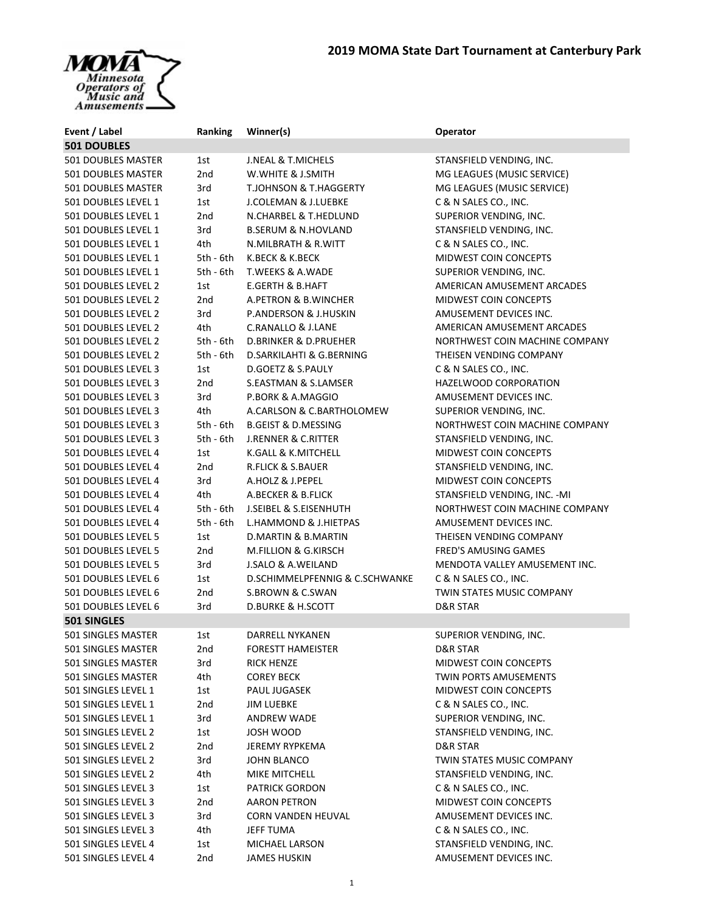## **MOMA State Dart Tournament at Canterbury Park**



| Event / Label                              | Ranking         | Winner(s)                                        | Operator                         |
|--------------------------------------------|-----------------|--------------------------------------------------|----------------------------------|
| <b>501 DOUBLES</b>                         |                 |                                                  |                                  |
| <b>501 DOUBLES MASTER</b>                  | 1st             | <b>J.NEAL &amp; T.MICHELS</b>                    | STANSFIELD VENDING, INC.         |
| 501 DOUBLES MASTER                         | 2nd             | W.WHITE & J.SMITH                                | MG LEAGUES (MUSIC SERVICE)       |
| 501 DOUBLES MASTER                         | 3rd             | <b>T.JOHNSON &amp; T.HAGGERTY</b>                | MG LEAGUES (MUSIC SERVICE)       |
| 501 DOUBLES LEVEL 1                        | 1st             | J.COLEMAN & J.LUEBKE                             | C & N SALES CO., INC.            |
| 501 DOUBLES LEVEL 1                        | 2nd             | N.CHARBEL & T.HEDLUND                            | SUPERIOR VENDING, INC.           |
| 501 DOUBLES LEVEL 1                        | 3rd             | <b>B.SERUM &amp; N.HOVLAND</b>                   | STANSFIELD VENDING, INC.         |
| 501 DOUBLES LEVEL 1                        | 4th             | N.MILBRATH & R.WITT                              | C & N SALES CO., INC.            |
| 501 DOUBLES LEVEL 1                        | 5th - 6th       | K.BECK & K.BECK                                  | MIDWEST COIN CONCEPTS            |
| 501 DOUBLES LEVEL 1                        | $5th - 6th$     | T.WEEKS & A.WADE                                 | SUPERIOR VENDING, INC.           |
| 501 DOUBLES LEVEL 2                        | 1st             | <b>E.GERTH &amp; B.HAFT</b>                      | AMERICAN AMUSEMENT ARCADES       |
| 501 DOUBLES LEVEL 2                        | 2nd             | A.PETRON & B.WINCHER                             | <b>MIDWEST COIN CONCEPTS</b>     |
| 501 DOUBLES LEVEL 2                        | 3rd             | P.ANDERSON & J.HUSKIN                            | AMUSEMENT DEVICES INC.           |
| 501 DOUBLES LEVEL 2                        | 4th             | C.RANALLO & J.LANE                               | AMERICAN AMUSEMENT ARCADES       |
| 501 DOUBLES LEVEL 2                        | 5th - 6th       | <b>D.BRINKER &amp; D.PRUEHER</b>                 | NORTHWEST COIN MACHINE COMPANY   |
| 501 DOUBLES LEVEL 2                        | $5th - 6th$     | <b>D.SARKILAHTI &amp; G.BERNING</b>              | THEISEN VENDING COMPANY          |
| 501 DOUBLES LEVEL 3                        | 1st             | D.GOETZ & S.PAULY                                | C & N SALES CO., INC.            |
| 501 DOUBLES LEVEL 3                        | 2 <sub>nd</sub> | S.EASTMAN & S.LAMSER                             | HAZELWOOD CORPORATION            |
| 501 DOUBLES LEVEL 3                        | 3rd             | P.BORK & A.MAGGIO                                | AMUSEMENT DEVICES INC.           |
| 501 DOUBLES LEVEL 3                        | 4th             | A.CARLSON & C.BARTHOLOMEW                        | SUPERIOR VENDING, INC.           |
| 501 DOUBLES LEVEL 3                        | 5th - 6th       | <b>B.GEIST &amp; D.MESSING</b>                   | NORTHWEST COIN MACHINE COMPANY   |
| 501 DOUBLES LEVEL 3                        | 5th - 6th       | <b>J.RENNER &amp; C.RITTER</b>                   | STANSFIELD VENDING, INC.         |
| 501 DOUBLES LEVEL 4                        | 1st             | K.GALL & K.MITCHELL                              | <b>MIDWEST COIN CONCEPTS</b>     |
| 501 DOUBLES LEVEL 4                        | 2nd             | <b>R.FLICK &amp; S.BAUER</b>                     | STANSFIELD VENDING, INC.         |
| 501 DOUBLES LEVEL 4                        | 3rd             | A.HOLZ & J.PEPEL                                 | <b>MIDWEST COIN CONCEPTS</b>     |
| 501 DOUBLES LEVEL 4                        | 4th             | A.BECKER & B.FLICK                               | STANSFIELD VENDING, INC. - MI    |
|                                            | 5th - 6th       | J.SEIBEL & S.EISENHUTH                           | NORTHWEST COIN MACHINE COMPANY   |
| 501 DOUBLES LEVEL 4                        | 5th - 6th       |                                                  | AMUSEMENT DEVICES INC.           |
| 501 DOUBLES LEVEL 4<br>501 DOUBLES LEVEL 5 | 1st             | L.HAMMOND & J.HIETPAS<br>D.MARTIN & B.MARTIN     | THEISEN VENDING COMPANY          |
| 501 DOUBLES LEVEL 5                        | 2nd             | M.FILLION & G.KIRSCH                             | <b>FRED'S AMUSING GAMES</b>      |
|                                            |                 |                                                  | MENDOTA VALLEY AMUSEMENT INC.    |
| 501 DOUBLES LEVEL 5                        | 3rd             | J.SALO & A.WEILAND                               |                                  |
| 501 DOUBLES LEVEL 6                        | 1st             | D.SCHIMMELPFENNIG & C.SCHWANKE                   | C & N SALES CO., INC.            |
| 501 DOUBLES LEVEL 6                        | 2nd             | S.BROWN & C.SWAN<br><b>D.BURKE &amp; H.SCOTT</b> | <b>TWIN STATES MUSIC COMPANY</b> |
| 501 DOUBLES LEVEL 6<br><b>501 SINGLES</b>  | 3rd             |                                                  | D&R STAR                         |
| 501 SINGLES MASTER                         |                 |                                                  |                                  |
| 501 SINGLES MASTER                         | 1st             | DARRELL NYKANEN                                  | SUPERIOR VENDING, INC.           |
|                                            | 2nd             | <b>FORESTT HAMEISTER</b>                         | D&R STAR                         |
| 501 SINGLES MASTER                         | 3rd             | <b>RICK HENZE</b>                                | <b>MIDWEST COIN CONCEPTS</b>     |
| 501 SINGLES MASTER                         | 4th             | <b>COREY BECK</b>                                | TWIN PORTS AMUSEMENTS            |
| 501 SINGLES LEVEL 1                        | 1st             | PAUL JUGASEK                                     | MIDWEST COIN CONCEPTS            |
| 501 SINGLES LEVEL 1                        | 2nd             | JIM LUEBKE                                       | C & N SALES CO., INC.            |
| 501 SINGLES LEVEL 1                        | 3rd             | <b>ANDREW WADE</b>                               | SUPERIOR VENDING, INC.           |
| 501 SINGLES LEVEL 2                        | 1st             | JOSH WOOD                                        | STANSFIELD VENDING, INC.         |
| 501 SINGLES LEVEL 2                        | 2nd             | <b>JEREMY RYPKEMA</b>                            | <b>D&amp;R STAR</b>              |
| 501 SINGLES LEVEL 2                        | 3rd             | JOHN BLANCO                                      | <b>TWIN STATES MUSIC COMPANY</b> |
| 501 SINGLES LEVEL 2                        | 4th             | MIKE MITCHELL                                    | STANSFIELD VENDING, INC.         |
| 501 SINGLES LEVEL 3                        | 1st             | <b>PATRICK GORDON</b>                            | C & N SALES CO., INC.            |
| 501 SINGLES LEVEL 3                        | 2nd             | <b>AARON PETRON</b>                              | MIDWEST COIN CONCEPTS            |
| 501 SINGLES LEVEL 3                        | 3rd             | CORN VANDEN HEUVAL                               | AMUSEMENT DEVICES INC.           |
| 501 SINGLES LEVEL 3                        | 4th             | JEFF TUMA                                        | C & N SALES CO., INC.            |
| 501 SINGLES LEVEL 4                        | 1st             | MICHAEL LARSON                                   | STANSFIELD VENDING, INC.         |
| 501 SINGLES LEVEL 4                        | 2nd             | <b>JAMES HUSKIN</b>                              | AMUSEMENT DEVICES INC.           |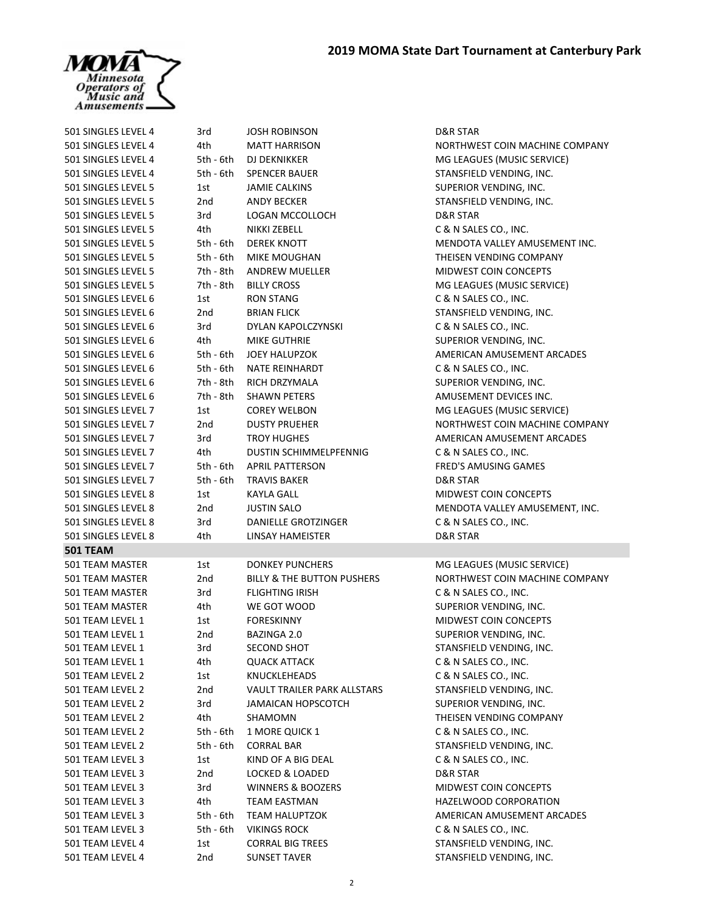

| 501 SINGLES LEVEL 4                | 3rd         | <b>JOSH ROBINSON</b>                                            | D&R STAR                                               |
|------------------------------------|-------------|-----------------------------------------------------------------|--------------------------------------------------------|
| 501 SINGLES LEVEL 4                | 4th         | <b>MATT HARRISON</b>                                            | NORTHWEST COIN MACHINE COMPANY                         |
| 501 SINGLES LEVEL 4                | 5th - 6th   | <b>DJ DEKNIKKER</b>                                             | MG LEAGUES (MUSIC SERVICE)                             |
| 501 SINGLES LEVEL 4                | 5th - 6th   | <b>SPENCER BAUER</b>                                            | STANSFIELD VENDING, INC.                               |
| 501 SINGLES LEVEL 5                | 1st         | <b>JAMIE CALKINS</b>                                            | SUPERIOR VENDING, INC.                                 |
| 501 SINGLES LEVEL 5                | 2nd         | <b>ANDY BECKER</b>                                              | STANSFIELD VENDING, INC.                               |
| 501 SINGLES LEVEL 5                | 3rd         | LOGAN MCCOLLOCH                                                 | D&R STAR                                               |
| 501 SINGLES LEVEL 5                | 4th         | NIKKI ZEBELL                                                    | C & N SALES CO., INC.                                  |
| 501 SINGLES LEVEL 5                | $5th - 6th$ | <b>DEREK KNOTT</b>                                              | MENDOTA VALLEY AMUSEMENT INC.                          |
| 501 SINGLES LEVEL 5                | 5th - 6th   | MIKE MOUGHAN                                                    | THEISEN VENDING COMPANY                                |
| 501 SINGLES LEVEL 5                | 7th - 8th   | ANDREW MUELLER                                                  | <b>MIDWEST COIN CONCEPTS</b>                           |
| 501 SINGLES LEVEL 5                | 7th - 8th   | <b>BILLY CROSS</b>                                              | MG LEAGUES (MUSIC SERVICE)                             |
| 501 SINGLES LEVEL 6                | 1st         | <b>RON STANG</b>                                                | C & N SALES CO., INC.                                  |
| 501 SINGLES LEVEL 6                | 2nd         | <b>BRIAN FLICK</b>                                              | STANSFIELD VENDING, INC.                               |
| 501 SINGLES LEVEL 6                | 3rd         | DYLAN KAPOLCZYNSKI                                              | C & N SALES CO., INC.                                  |
| 501 SINGLES LEVEL 6                | 4th         | <b>MIKE GUTHRIE</b>                                             | SUPERIOR VENDING, INC.                                 |
| 501 SINGLES LEVEL 6                | 5th - 6th   | <b>JOEY HALUPZOK</b>                                            | AMERICAN AMUSEMENT ARCADES                             |
| 501 SINGLES LEVEL 6                | 5th - 6th   | <b>NATE REINHARDT</b>                                           | C & N SALES CO., INC.                                  |
| 501 SINGLES LEVEL 6                | 7th - 8th   | <b>RICH DRZYMALA</b>                                            | SUPERIOR VENDING, INC.                                 |
| 501 SINGLES LEVEL 6                | 7th - 8th   | <b>SHAWN PETERS</b>                                             | AMUSEMENT DEVICES INC.                                 |
| 501 SINGLES LEVEL 7                | 1st         | <b>COREY WELBON</b>                                             | MG LEAGUES (MUSIC SERVICE)                             |
| 501 SINGLES LEVEL 7                | 2nd         | <b>DUSTY PRUEHER</b>                                            | NORTHWEST COIN MACHINE COMPANY                         |
| 501 SINGLES LEVEL 7                | 3rd         | <b>TROY HUGHES</b>                                              | AMERICAN AMUSEMENT ARCADES                             |
| 501 SINGLES LEVEL 7                | 4th         | <b>DUSTIN SCHIMMELPFENNIG</b>                                   | C & N SALES CO., INC.                                  |
| 501 SINGLES LEVEL 7                | 5th - 6th   | <b>APRIL PATTERSON</b>                                          | FRED'S AMUSING GAMES                                   |
| 501 SINGLES LEVEL 7                | 5th - 6th   | <b>TRAVIS BAKER</b>                                             | <b>D&amp;R STAR</b>                                    |
| 501 SINGLES LEVEL 8                | 1st         | KAYLA GALL                                                      | MIDWEST COIN CONCEPTS                                  |
| 501 SINGLES LEVEL 8                | 2nd         | <b>JUSTIN SALO</b>                                              | MENDOTA VALLEY AMUSEMENT, INC.                         |
| 501 SINGLES LEVEL 8                | 3rd         | DANIELLE GROTZINGER                                             | C & N SALES CO., INC.                                  |
| 501 SINGLES LEVEL 8                | 4th         | LINSAY HAMEISTER                                                | D&R STAR                                               |
| <b>501 TEAM</b>                    |             |                                                                 |                                                        |
|                                    |             |                                                                 |                                                        |
| 501 TEAM MASTER<br>501 TEAM MASTER | 1st         | <b>DONKEY PUNCHERS</b><br><b>BILLY &amp; THE BUTTON PUSHERS</b> | MG LEAGUES (MUSIC SERVICE)                             |
|                                    | 2nd         | <b>FLIGHTING IRISH</b>                                          | NORTHWEST COIN MACHINE COMPANY                         |
| 501 TEAM MASTER                    | 3rd         |                                                                 | C & N SALES CO., INC.                                  |
| 501 TEAM MASTER                    | 4th         | WE GOT WOOD                                                     | SUPERIOR VENDING, INC.<br><b>MIDWEST COIN CONCEPTS</b> |
| 501 TEAM LEVEL 1                   | 1st         | <b>FORESKINNY</b>                                               |                                                        |
| 501 TEAM LEVEL 1                   | 2nd         | BAZINGA 2.0                                                     | SUPERIOR VENDING, INC.                                 |
| 501 TEAM LEVEL 1                   | 3rd         | SECOND SHOT                                                     | STANSFIELD VENDING, INC.                               |
| 501 TEAM LEVEL 1                   | 4th         | <b>QUACK ATTACK</b>                                             | C & N SALES CO., INC.                                  |
| 501 TEAM LEVEL 2                   | 1st         | <b>KNUCKLEHEADS</b>                                             | C & N SALES CO., INC.                                  |
| 501 TEAM LEVEL 2                   | 2nd         | VAULT TRAILER PARK ALLSTARS                                     | STANSFIELD VENDING, INC.                               |
| 501 TEAM LEVEL 2                   | 3rd         | <b>JAMAICAN HOPSCOTCH</b>                                       | SUPERIOR VENDING, INC.                                 |
| 501 TEAM LEVEL 2                   | 4th         | SHAMOMN                                                         | THEISEN VENDING COMPANY                                |
| 501 TEAM LEVEL 2                   | 5th - 6th   | 1 MORE QUICK 1                                                  | C & N SALES CO., INC.                                  |
| 501 TEAM LEVEL 2                   | 5th - 6th   | <b>CORRAL BAR</b>                                               | STANSFIELD VENDING, INC.                               |
| 501 TEAM LEVEL 3                   | 1st         | KIND OF A BIG DEAL                                              | C & N SALES CO., INC.                                  |
| 501 TEAM LEVEL 3                   | 2nd         | LOCKED & LOADED                                                 | D&R STAR                                               |
| 501 TEAM LEVEL 3                   | 3rd         | <b>WINNERS &amp; BOOZERS</b>                                    | <b>MIDWEST COIN CONCEPTS</b>                           |
| 501 TEAM LEVEL 3                   | 4th         | TEAM EASTMAN                                                    | HAZELWOOD CORPORATION                                  |
| 501 TEAM LEVEL 3                   | 5th - 6th   | <b>TEAM HALUPTZOK</b>                                           | AMERICAN AMUSEMENT ARCADES                             |
| 501 TEAM LEVEL 3                   | 5th - 6th   | <b>VIKINGS ROCK</b>                                             | C & N SALES CO., INC.                                  |
| 501 TEAM LEVEL 4                   | 1st         | <b>CORRAL BIG TREES</b>                                         | STANSFIELD VENDING, INC.                               |
| 501 TEAM LEVEL 4                   | 2nd         | <b>SUNSET TAVER</b>                                             | STANSFIELD VENDING, INC.                               |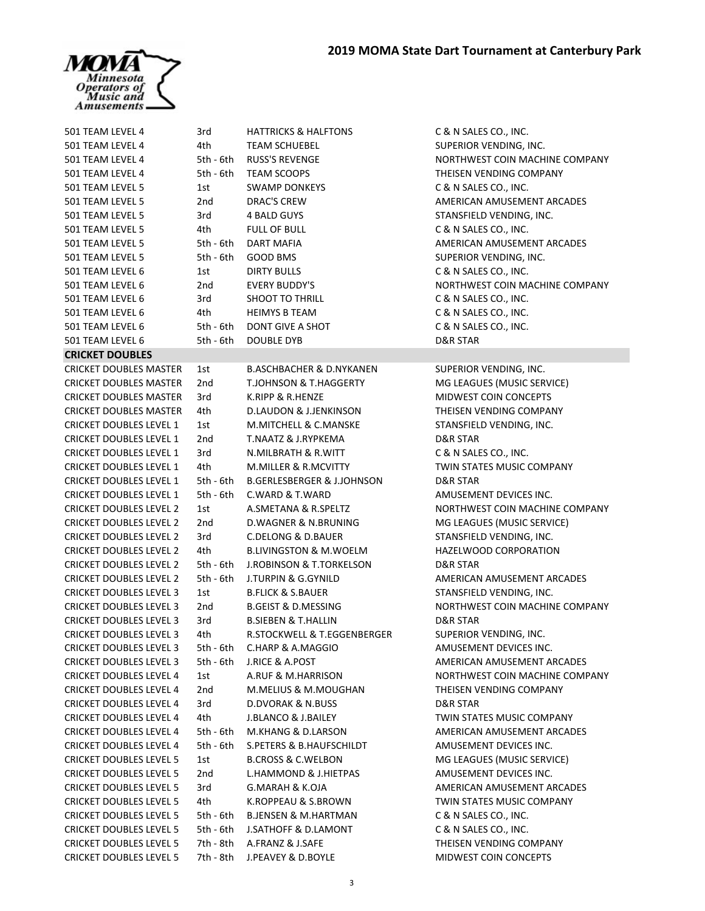

| 501 TEAM LEVEL 4                                                 | 3rd       | <b>HATTRICKS &amp; HALFTONS</b>       | C & N SALES CO., INC.                                  |
|------------------------------------------------------------------|-----------|---------------------------------------|--------------------------------------------------------|
| 501 TEAM LEVEL 4                                                 | 4th       | <b>TEAM SCHUEBEL</b>                  | SUPERIOR VENDING, INC.                                 |
| 501 TEAM LEVEL 4                                                 | 5th - 6th | <b>RUSS'S REVENGE</b>                 | NORTHWEST COIN MACHINE COMPANY                         |
| 501 TEAM LEVEL 4                                                 | 5th - 6th | <b>TEAM SCOOPS</b>                    | THEISEN VENDING COMPANY                                |
| 501 TEAM LEVEL 5                                                 | 1st       | <b>SWAMP DONKEYS</b>                  | C & N SALES CO., INC.                                  |
| 501 TEAM LEVEL 5                                                 | 2nd       | <b>DRAC'S CREW</b>                    | AMERICAN AMUSEMENT ARCADES                             |
| 501 TEAM LEVEL 5                                                 | 3rd       | 4 BALD GUYS                           | STANSFIELD VENDING, INC.                               |
| 501 TEAM LEVEL 5                                                 | 4th.      | <b>FULL OF BULL</b>                   | C & N SALES CO., INC.                                  |
| 501 TEAM LEVEL 5                                                 | 5th - 6th | <b>DART MAFIA</b>                     | AMERICAN AMUSEMENT ARCADES                             |
| 501 TEAM LEVEL 5                                                 | 5th - 6th | GOOD BMS                              | SUPERIOR VENDING, INC.                                 |
| 501 TEAM LEVEL 6                                                 | 1st       | <b>DIRTY BULLS</b>                    | C & N SALES CO., INC.                                  |
| 501 TEAM LEVEL 6                                                 | 2nd       | <b>EVERY BUDDY'S</b>                  | NORTHWEST COIN MACHINE COMPANY                         |
| 501 TEAM LEVEL 6                                                 | 3rd       | SHOOT TO THRILL                       | C & N SALES CO., INC.                                  |
| 501 TEAM LEVEL 6                                                 | 4th       | <b>HEIMYS B TEAM</b>                  | C & N SALES CO., INC.                                  |
| 501 TEAM LEVEL 6                                                 | 5th - 6th | DONT GIVE A SHOT                      | C & N SALES CO., INC.                                  |
| 501 TEAM LEVEL 6                                                 | 5th - 6th | DOUBLE DYB                            | D&R STAR                                               |
| <b>CRICKET DOUBLES</b>                                           |           |                                       |                                                        |
| <b>CRICKET DOUBLES MASTER</b>                                    | 1st       | <b>B.ASCHBACHER &amp; D.NYKANEN</b>   | SUPERIOR VENDING, INC.                                 |
| <b>CRICKET DOUBLES MASTER</b>                                    | 2nd       | T.JOHNSON & T.HAGGERTY                | MG LEAGUES (MUSIC SERVICE)                             |
| <b>CRICKET DOUBLES MASTER</b>                                    | 3rd       | K.RIPP & R.HENZE                      | MIDWEST COIN CONCEPTS                                  |
| <b>CRICKET DOUBLES MASTER</b>                                    | 4th       | D.LAUDON & J.JENKINSON                | THEISEN VENDING COMPANY                                |
| <b>CRICKET DOUBLES LEVEL 1</b>                                   | 1st       | M.MITCHELL & C.MANSKE                 | STANSFIELD VENDING, INC.                               |
| <b>CRICKET DOUBLES LEVEL 1</b>                                   | 2nd       | <b>T.NAATZ &amp; J.RYPKEMA</b>        | <b>D&amp;R STAR</b>                                    |
| <b>CRICKET DOUBLES LEVEL 1</b>                                   | 3rd       | N.MILBRATH & R.WITT                   | C & N SALES CO., INC.                                  |
|                                                                  | 4th       | M.MILLER & R.MCVITTY                  | TWIN STATES MUSIC COMPANY                              |
| <b>CRICKET DOUBLES LEVEL 1</b><br><b>CRICKET DOUBLES LEVEL 1</b> | 5th - 6th | <b>B.GERLESBERGER &amp; J.JOHNSON</b> | D&R STAR                                               |
| <b>CRICKET DOUBLES LEVEL 1</b>                                   | 5th - 6th | C.WARD & T.WARD                       | AMUSEMENT DEVICES INC.                                 |
| <b>CRICKET DOUBLES LEVEL 2</b>                                   | 1st       | A.SMETANA & R.SPELTZ                  | NORTHWEST COIN MACHINE COMPANY                         |
| <b>CRICKET DOUBLES LEVEL 2</b>                                   | 2nd       | <b>D.WAGNER &amp; N.BRUNING</b>       |                                                        |
| <b>CRICKET DOUBLES LEVEL 2</b>                                   | 3rd       | <b>C.DELONG &amp; D.BAUER</b>         | MG LEAGUES (MUSIC SERVICE)<br>STANSFIELD VENDING, INC. |
| <b>CRICKET DOUBLES LEVEL 2</b>                                   | 4th       | <b>B.LIVINGSTON &amp; M.WOELM</b>     | HAZELWOOD CORPORATION                                  |
| <b>CRICKET DOUBLES LEVEL 2</b>                                   |           | <b>J.ROBINSON &amp; T.TORKELSON</b>   |                                                        |
|                                                                  | 5th - 6th | <b>J.TURPIN &amp; G.GYNILD</b>        | D&R STAR                                               |
| <b>CRICKET DOUBLES LEVEL 2</b>                                   | 5th - 6th | <b>B.FLICK &amp; S.BAUER</b>          | AMERICAN AMUSEMENT ARCADES                             |
| <b>CRICKET DOUBLES LEVEL 3</b>                                   | 1st       | <b>B.GEIST &amp; D.MESSING</b>        | STANSFIELD VENDING, INC.                               |
| <b>CRICKET DOUBLES LEVEL 3</b>                                   | 2nd       |                                       | NORTHWEST COIN MACHINE COMPANY                         |
| <b>CRICKET DOUBLES LEVEL 3</b>                                   | 3rd       | <b>B.SIEBEN &amp; T.HALLIN</b>        | <b>D&amp;R STAR</b>                                    |
| <b>CRICKET DOUBLES LEVEL 3</b>                                   | 4th       | R.STOCKWELL & T.EGGENBERGER           | SUPERIOR VENDING, INC.                                 |
| <b>CRICKET DOUBLES LEVEL 3</b>                                   | 5th - 6th | C.HARP & A.MAGGIO                     | AMUSEMENT DEVICES INC.                                 |
| <b>CRICKET DOUBLES LEVEL 3</b>                                   | 5th - 6th | <b>J.RICE &amp; A.POST</b>            | AMERICAN AMUSEMENT ARCADES                             |
| <b>CRICKET DOUBLES LEVEL 4</b>                                   | 1st       | A.RUF & M.HARRISON                    | NORTHWEST COIN MACHINE COMPANY                         |
| <b>CRICKET DOUBLES LEVEL 4</b>                                   | 2nd       | M.MELIUS & M.MOUGHAN                  | THEISEN VENDING COMPANY                                |
| <b>CRICKET DOUBLES LEVEL 4</b>                                   | 3rd       | <b>D.DVORAK &amp; N.BUSS</b>          | D&R STAR                                               |
| <b>CRICKET DOUBLES LEVEL 4</b>                                   | 4th       | J.BLANCO & J.BAILEY                   | <b>TWIN STATES MUSIC COMPANY</b>                       |
| <b>CRICKET DOUBLES LEVEL 4</b>                                   | 5th - 6th | M.KHANG & D.LARSON                    | AMERICAN AMUSEMENT ARCADES                             |
| <b>CRICKET DOUBLES LEVEL 4</b>                                   | 5th - 6th | <b>S.PETERS &amp; B.HAUFSCHILDT</b>   | AMUSEMENT DEVICES INC.                                 |
| <b>CRICKET DOUBLES LEVEL 5</b>                                   | 1st       | <b>B.CROSS &amp; C.WELBON</b>         | MG LEAGUES (MUSIC SERVICE)                             |
| <b>CRICKET DOUBLES LEVEL 5</b>                                   | 2nd       | <b>L.HAMMOND &amp; J.HIETPAS</b>      | AMUSEMENT DEVICES INC.                                 |
| <b>CRICKET DOUBLES LEVEL 5</b>                                   | 3rd       | <b>G.MARAH &amp; K.OJA</b>            | AMERICAN AMUSEMENT ARCADES                             |
| <b>CRICKET DOUBLES LEVEL 5</b>                                   | 4th       | K.ROPPEAU & S.BROWN                   | <b>TWIN STATES MUSIC COMPANY</b>                       |
| <b>CRICKET DOUBLES LEVEL 5</b>                                   | 5th - 6th | <b>B.JENSEN &amp; M.HARTMAN</b>       | C & N SALES CO., INC.                                  |
| <b>CRICKET DOUBLES LEVEL 5</b>                                   | 5th - 6th | <b>J.SATHOFF &amp; D.LAMONT</b>       | C & N SALES CO., INC.                                  |
| <b>CRICKET DOUBLES LEVEL 5</b>                                   | 7th - 8th | A.FRANZ & J.SAFE                      | THEISEN VENDING COMPANY                                |
| <b>CRICKET DOUBLES LEVEL 5</b>                                   | 7th - 8th | J.PEAVEY & D.BOYLE                    | MIDWEST COIN CONCEPTS                                  |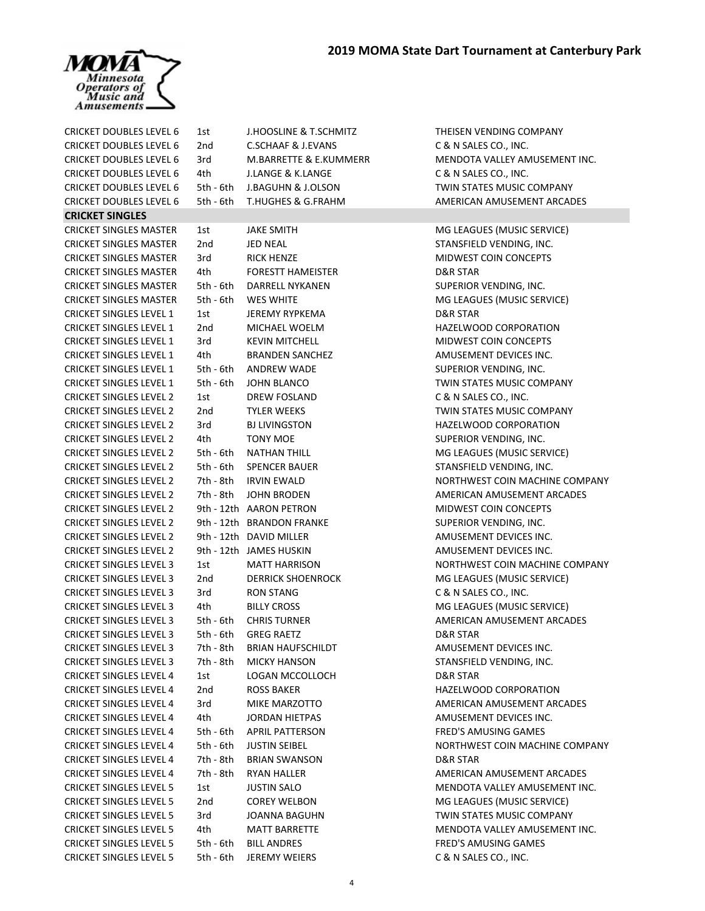

| <b>CRICKET DOUBLES LEVEL 6</b> | 1st             | J.HOOSLINE & T.SCHMITZ            | THEISEN VENDING COMPANY              |
|--------------------------------|-----------------|-----------------------------------|--------------------------------------|
| <b>CRICKET DOUBLES LEVEL 6</b> | 2nd             | <b>C.SCHAAF &amp; J.EVANS</b>     | C & N SALES CO., INC.                |
| <b>CRICKET DOUBLES LEVEL 6</b> | 3rd             | <b>M.BARRETTE &amp; E.KUMMERR</b> | MENDOTA VALLEY AMUSEMENT INC.        |
| <b>CRICKET DOUBLES LEVEL 6</b> | 4th             | <b>J.LANGE &amp; K.LANGE</b>      | C & N SALES CO., INC.                |
| <b>CRICKET DOUBLES LEVEL 6</b> | 5th - 6th       | J.BAGUHN & J.OLSON                | TWIN STATES MUSIC COMPANY            |
| <b>CRICKET DOUBLES LEVEL 6</b> | 5th - 6th       | <b>T.HUGHES &amp; G.FRAHM</b>     | AMERICAN AMUSEMENT ARCADES           |
| <b>CRICKET SINGLES</b>         |                 |                                   |                                      |
| <b>CRICKET SINGLES MASTER</b>  | 1st             | <b>JAKE SMITH</b>                 | MG LEAGUES (MUSIC SERVICE)           |
| <b>CRICKET SINGLES MASTER</b>  | 2 <sub>nd</sub> | <b>JED NEAL</b>                   | STANSFIELD VENDING, INC.             |
| <b>CRICKET SINGLES MASTER</b>  | 3rd             | <b>RICK HENZE</b>                 | MIDWEST COIN CONCEPTS                |
| <b>CRICKET SINGLES MASTER</b>  | 4th             | <b>FORESTT HAMEISTER</b>          | <b>D&amp;R STAR</b>                  |
| <b>CRICKET SINGLES MASTER</b>  | 5th - 6th       | DARRELL NYKANEN                   | SUPERIOR VENDING, INC.               |
| <b>CRICKET SINGLES MASTER</b>  | 5th - 6th       | <b>WES WHITE</b>                  | MG LEAGUES (MUSIC SERVICE)           |
| <b>CRICKET SINGLES LEVEL 1</b> | 1st             | <b>JEREMY RYPKEMA</b>             | <b>D&amp;R STAR</b>                  |
| <b>CRICKET SINGLES LEVEL 1</b> | 2nd             | MICHAEL WOELM                     | HAZELWOOD CORPORATION                |
| <b>CRICKET SINGLES LEVEL 1</b> | 3rd             | <b>KEVIN MITCHELL</b>             | MIDWEST COIN CONCEPTS                |
| <b>CRICKET SINGLES LEVEL 1</b> | 4th             | <b>BRANDEN SANCHEZ</b>            | AMUSEMENT DEVICES INC.               |
| <b>CRICKET SINGLES LEVEL 1</b> | 5th - 6th       | ANDREW WADE                       | SUPERIOR VENDING, INC.               |
| <b>CRICKET SINGLES LEVEL 1</b> | $5th - 6th$     | JOHN BLANCO                       | TWIN STATES MUSIC COMPANY            |
| <b>CRICKET SINGLES LEVEL 2</b> | 1st             | DREW FOSLAND                      | C & N SALES CO., INC.                |
| <b>CRICKET SINGLES LEVEL 2</b> | 2nd             | <b>TYLER WEEKS</b>                | TWIN STATES MUSIC COMPANY            |
|                                |                 |                                   | HAZELWOOD CORPORATION                |
| <b>CRICKET SINGLES LEVEL 2</b> | 3rd             | <b>BJ LIVINGSTON</b>              |                                      |
| <b>CRICKET SINGLES LEVEL 2</b> | 4th             | <b>TONY MOE</b>                   | SUPERIOR VENDING, INC.               |
| <b>CRICKET SINGLES LEVEL 2</b> | 5th - 6th       | <b>NATHAN THILL</b>               | MG LEAGUES (MUSIC SERVICE)           |
| <b>CRICKET SINGLES LEVEL 2</b> | 5th - 6th       | <b>SPENCER BAUER</b>              | STANSFIELD VENDING, INC.             |
| <b>CRICKET SINGLES LEVEL 2</b> | 7th - 8th       | <b>IRVIN EWALD</b>                | NORTHWEST COIN MACHINE COMPANY       |
| <b>CRICKET SINGLES LEVEL 2</b> | 7th - 8th       | <b>JOHN BRODEN</b>                | AMERICAN AMUSEMENT ARCADES           |
| <b>CRICKET SINGLES LEVEL 2</b> |                 | 9th - 12th AARON PETRON           | <b>MIDWEST COIN CONCEPTS</b>         |
| <b>CRICKET SINGLES LEVEL 2</b> |                 | 9th - 12th BRANDON FRANKE         | SUPERIOR VENDING, INC.               |
| <b>CRICKET SINGLES LEVEL 2</b> |                 | 9th - 12th DAVID MILLER           | AMUSEMENT DEVICES INC.               |
| <b>CRICKET SINGLES LEVEL 2</b> |                 | 9th - 12th JAMES HUSKIN           | AMUSEMENT DEVICES INC.               |
| <b>CRICKET SINGLES LEVEL 3</b> | 1st             | <b>MATT HARRISON</b>              | NORTHWEST COIN MACHINE COMPANY       |
| <b>CRICKET SINGLES LEVEL 3</b> | 2nd             | <b>DERRICK SHOENROCK</b>          | MG LEAGUES (MUSIC SERVICE)           |
| <b>CRICKET SINGLES LEVEL 3</b> | 3rd             | <b>RON STANG</b>                  | C & N SALES CO., INC.                |
| <b>CRICKET SINGLES LEVEL 3</b> | 4th             | <b>BILLY CROSS</b>                | MG LEAGUES (MUSIC SERVICE)           |
| <b>CRICKET SINGLES LEVEL 3</b> | 5th - 6th       | <b>CHRIS TURNER</b>               | AMERICAN AMUSEMENT ARCADES           |
| <b>CRICKET SINGLES LEVEL 3</b> | 5th - 6th       | <b>GREG RAETZ</b>                 | D&R STAR                             |
| <b>CRICKET SINGLES LEVEL 3</b> | 7th - 8th       | <b>BRIAN HAUFSCHILDT</b>          | AMUSEMENT DEVICES INC.               |
| <b>CRICKET SINGLES LEVEL 3</b> | 7th - 8th       | <b>MICKY HANSON</b>               | STANSFIELD VENDING, INC.             |
| <b>CRICKET SINGLES LEVEL 4</b> | 1st             | LOGAN MCCOLLOCH                   | D&R STAR                             |
| <b>CRICKET SINGLES LEVEL 4</b> | 2nd             | <b>ROSS BAKER</b>                 | HAZELWOOD CORPORATION                |
| <b>CRICKET SINGLES LEVEL 4</b> | 3rd             | MIKE MARZOTTO                     | AMERICAN AMUSEMENT ARCADES           |
| <b>CRICKET SINGLES LEVEL 4</b> | 4th             | <b>JORDAN HIETPAS</b>             | AMUSEMENT DEVICES INC.               |
| <b>CRICKET SINGLES LEVEL 4</b> | 5th - 6th       | <b>APRIL PATTERSON</b>            | <b>FRED'S AMUSING GAMES</b>          |
| <b>CRICKET SINGLES LEVEL 4</b> | 5th - 6th       | <b>JUSTIN SEIBEL</b>              | NORTHWEST COIN MACHINE COMPANY       |
| <b>CRICKET SINGLES LEVEL 4</b> | 7th - 8th       | <b>BRIAN SWANSON</b>              | D&R STAR                             |
| <b>CRICKET SINGLES LEVEL 4</b> | 7th - 8th       | <b>RYAN HALLER</b>                | AMERICAN AMUSEMENT ARCADES           |
| <b>CRICKET SINGLES LEVEL 5</b> | 1st             | <b>JUSTIN SALO</b>                | <b>MENDOTA VALLEY AMUSEMENT INC.</b> |
| <b>CRICKET SINGLES LEVEL 5</b> | 2nd             | <b>COREY WELBON</b>               | MG LEAGUES (MUSIC SERVICE)           |
| <b>CRICKET SINGLES LEVEL 5</b> | 3rd             | <b>JOANNA BAGUHN</b>              | TWIN STATES MUSIC COMPANY            |
| <b>CRICKET SINGLES LEVEL 5</b> | 4th             | <b>MATT BARRETTE</b>              | MENDOTA VALLEY AMUSEMENT INC.        |
| <b>CRICKET SINGLES LEVEL 5</b> | 5th - 6th       | <b>BILL ANDRES</b>                | FRED'S AMUSING GAMES                 |
| <b>CRICKET SINGLES LEVEL 5</b> | 5th - 6th       | <b>JEREMY WEIERS</b>              | C & N SALES CO., INC.                |
|                                |                 |                                   |                                      |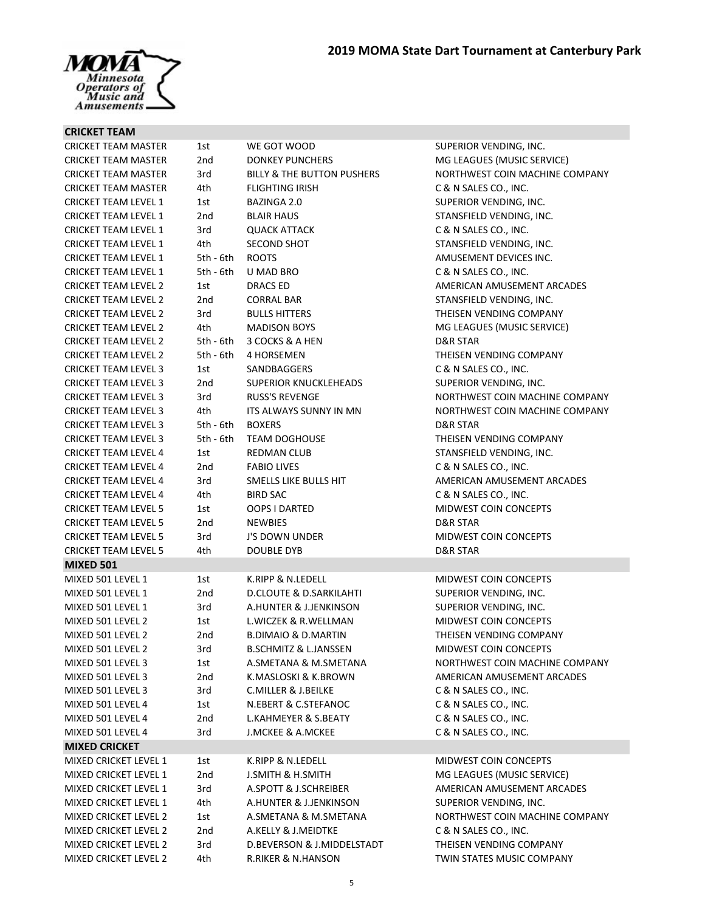

## **CRICKET TEAM**

| <b>CRICKET TEAM MASTER</b>   | 1st         | WE GOT WOOD                           | SUPERIOR VENDING, INC.         |
|------------------------------|-------------|---------------------------------------|--------------------------------|
| <b>CRICKET TEAM MASTER</b>   | 2nd         | <b>DONKEY PUNCHERS</b>                | MG LEAGUES (MUSIC SERVICE)     |
| <b>CRICKET TEAM MASTER</b>   | 3rd         | <b>BILLY &amp; THE BUTTON PUSHERS</b> | NORTHWEST COIN MACHINE COMPANY |
| <b>CRICKET TEAM MASTER</b>   | 4th         | <b>FLIGHTING IRISH</b>                | C & N SALES CO., INC.          |
| <b>CRICKET TEAM LEVEL 1</b>  | 1st         | BAZINGA 2.0                           | SUPERIOR VENDING, INC.         |
| <b>CRICKET TEAM LEVEL 1</b>  | 2nd         | <b>BLAIR HAUS</b>                     | STANSFIELD VENDING, INC.       |
| <b>CRICKET TEAM LEVEL 1</b>  | 3rd         | <b>QUACK ATTACK</b>                   | C & N SALES CO., INC.          |
| <b>CRICKET TEAM LEVEL 1</b>  | 4th         | <b>SECOND SHOT</b>                    | STANSFIELD VENDING, INC.       |
| <b>CRICKET TEAM LEVEL 1</b>  | $5th - 6th$ | <b>ROOTS</b>                          | AMUSEMENT DEVICES INC.         |
| <b>CRICKET TEAM LEVEL 1</b>  | 5th - 6th   | <b>U MAD BRO</b>                      | C & N SALES CO., INC.          |
| <b>CRICKET TEAM LEVEL 2</b>  | 1st         | DRACS ED                              | AMERICAN AMUSEMENT ARCADES     |
| <b>CRICKET TEAM LEVEL 2</b>  | 2nd         | <b>CORRAL BAR</b>                     | STANSFIELD VENDING, INC.       |
| <b>CRICKET TEAM LEVEL 2</b>  | 3rd         | <b>BULLS HITTERS</b>                  | THEISEN VENDING COMPANY        |
| <b>CRICKET TEAM LEVEL 2</b>  | 4th.        | <b>MADISON BOYS</b>                   | MG LEAGUES (MUSIC SERVICE)     |
| <b>CRICKET TEAM LEVEL 2</b>  | 5th - 6th   | 3 COCKS & A HEN                       | <b>D&amp;R STAR</b>            |
| <b>CRICKET TEAM LEVEL 2</b>  | 5th - 6th   | 4 HORSEMEN                            | THEISEN VENDING COMPANY        |
| <b>CRICKET TEAM LEVEL 3</b>  | 1st         | SANDBAGGERS                           | C & N SALES CO., INC.          |
| <b>CRICKET TEAM LEVEL 3</b>  | 2nd         | SUPERIOR KNUCKLEHEADS                 | SUPERIOR VENDING, INC.         |
| <b>CRICKET TEAM LEVEL 3</b>  | 3rd         | <b>RUSS'S REVENGE</b>                 | NORTHWEST COIN MACHINE COMPANY |
| <b>CRICKET TEAM LEVEL 3</b>  | 4th         | ITS ALWAYS SUNNY IN MN                | NORTHWEST COIN MACHINE COMPANY |
| <b>CRICKET TEAM LEVEL 3</b>  | 5th - 6th   | <b>BOXERS</b>                         | D&R STAR                       |
| <b>CRICKET TEAM LEVEL 3</b>  | 5th - 6th   | <b>TEAM DOGHOUSE</b>                  | THEISEN VENDING COMPANY        |
| <b>CRICKET TEAM LEVEL 4</b>  | 1st         | REDMAN CLUB                           | STANSFIELD VENDING, INC.       |
| <b>CRICKET TEAM LEVEL 4</b>  | 2nd         | <b>FABIO LIVES</b>                    | C & N SALES CO., INC.          |
| <b>CRICKET TEAM LEVEL 4</b>  | 3rd         | SMELLS LIKE BULLS HIT                 | AMERICAN AMUSEMENT ARCADES     |
| <b>CRICKET TEAM LEVEL 4</b>  | 4th         | <b>BIRD SAC</b>                       | C & N SALES CO., INC.          |
| <b>CRICKET TEAM LEVEL 5</b>  | 1st         | OOPS I DARTED                         | MIDWEST COIN CONCEPTS          |
| <b>CRICKET TEAM LEVEL 5</b>  | 2nd         | <b>NEWBIES</b>                        | <b>D&amp;R STAR</b>            |
| <b>CRICKET TEAM LEVEL 5</b>  | 3rd         | <b>J'S DOWN UNDER</b>                 | MIDWEST COIN CONCEPTS          |
| <b>CRICKET TEAM LEVEL 5</b>  | 4th         | <b>DOUBLE DYB</b>                     | D&R STAR                       |
| <b>MIXED 501</b>             |             |                                       |                                |
| MIXED 501 LEVEL 1            | 1st         | K.RIPP & N.LEDELL                     | MIDWEST COIN CONCEPTS          |
| MIXED 501 LEVEL 1            | 2nd         | <b>D.CLOUTE &amp; D.SARKILAHTI</b>    | SUPERIOR VENDING, INC.         |
| MIXED 501 LEVEL 1            | 3rd         | A.HUNTER & J.JENKINSON                | SUPERIOR VENDING, INC.         |
| MIXED 501 LEVEL 2            | 1st         | L.WICZEK & R.WELLMAN                  | <b>MIDWEST COIN CONCEPTS</b>   |
| MIXED 501 LEVEL 2            | 2nd         | <b>B.DIMAIO &amp; D.MARTIN</b>        | THEISEN VENDING COMPANY        |
| MIXED 501 LEVEL 2            | 3rd         | <b>B.SCHMITZ &amp; L.JANSSEN</b>      | <b>MIDWEST COIN CONCEPTS</b>   |
| MIXED 501 LEVEL 3            | 1st         | A.SMETANA & M.SMETANA                 | NORTHWEST COIN MACHINE COMPANY |
| MIXED 501 LEVEL 3            | 2nd         | K.MASLOSKI & K.BROWN                  | AMERICAN AMUSEMENT ARCADES     |
| MIXED 501 LEVEL 3            | 3rd         | C.MILLER & J.BEILKE                   | C & N SALES CO., INC.          |
| MIXED 501 LEVEL 4            | 1st         | N.EBERT & C.STEFANOC                  | C & N SALES CO., INC.          |
| MIXED 501 LEVEL 4            | 2nd         | L.KAHMEYER & S.BEATY                  | C & N SALES CO., INC.          |
| MIXED 501 LEVEL 4            | 3rd         | <b>J.MCKEE &amp; A.MCKEE</b>          | C & N SALES CO., INC.          |
| <b>MIXED CRICKET</b>         |             |                                       |                                |
| <b>MIXED CRICKET LEVEL 1</b> | 1st         | K.RIPP & N.LEDELL                     | MIDWEST COIN CONCEPTS          |
| <b>MIXED CRICKET LEVEL 1</b> | 2nd         | <b>J.SMITH &amp; H.SMITH</b>          | MG LEAGUES (MUSIC SERVICE)     |
| MIXED CRICKET LEVEL 1        | 3rd         | A.SPOTT & J.SCHREIBER                 | AMERICAN AMUSEMENT ARCADES     |
| MIXED CRICKET LEVEL 1        | 4th         | A.HUNTER & J.JENKINSON                | SUPERIOR VENDING, INC.         |
| <b>MIXED CRICKET LEVEL 2</b> | 1st         | A.SMETANA & M.SMETANA                 | NORTHWEST COIN MACHINE COMPANY |
| <b>MIXED CRICKET LEVEL 2</b> | 2nd         | A.KELLY & J.MEIDTKE                   | C & N SALES CO., INC.          |
| MIXED CRICKET LEVEL 2        | 3rd         | D.BEVERSON & J.MIDDELSTADT            | THEISEN VENDING COMPANY        |
| MIXED CRICKET LEVEL 2        | 4th         | R.RIKER & N.HANSON                    | TWIN STATES MUSIC COMPANY      |